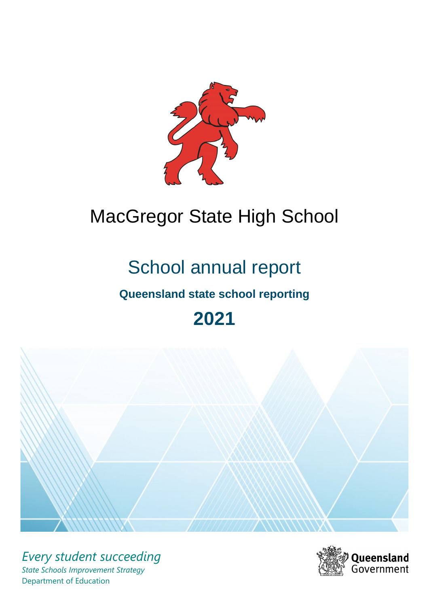

# MacGregor State High School

# School annual report

# **Queensland state school reporting**

# **2021**



*Every student succeeding State Schools Improvement Strategy* Department of Education

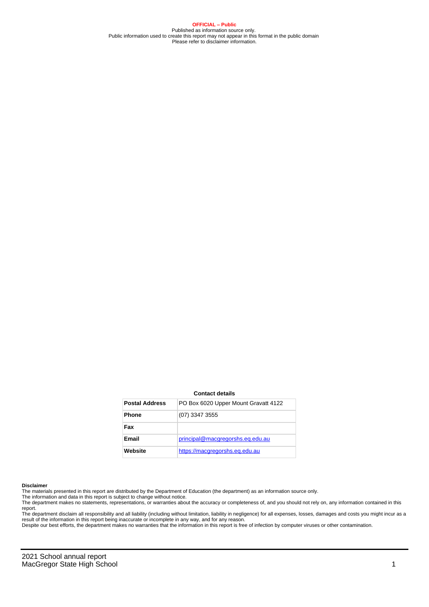**OFFICIAL – Public** Published as information source only. Public information used to create this report may not appear in this format in the public domain Please refer to disclaimer information.

#### **Contact details**

| <b>Postal Address</b> | PO Box 6020 Upper Mount Gravatt 4122 |
|-----------------------|--------------------------------------|
| <b>Phone</b>          | $(07)$ 3347 3555                     |
| Fax                   |                                      |
| Email                 | principal@macgregorshs.eq.edu.au     |
| Website               | https://macgregorshs.eg.edu.au       |

#### **Disclaimer**

The materials presented in this report are distributed by the Department of Education (the department) as an information source only.

The information and data in this report is subject to change without notice.<br>The department makes no statements, representations, or warranties about the accuracy or completeness of, and you should not rely on, any informa report. The department disclaim all responsibility and all liability (including without limitation, liability in negligence) for all expenses, losses, damages and costs you might incur as a

result of the information in this report being inaccurate or incomplete in any way, and for any reason. Despite our best efforts, the department makes no warranties that the information in this report is free of infection by computer viruses or other contamination.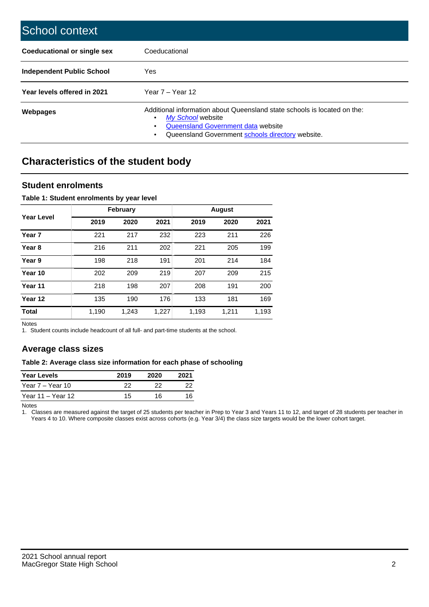| School context                     |                                                                                                                                                                                                   |
|------------------------------------|---------------------------------------------------------------------------------------------------------------------------------------------------------------------------------------------------|
| <b>Coeducational or single sex</b> | Coeducational                                                                                                                                                                                     |
| Independent Public School          | <b>Yes</b>                                                                                                                                                                                        |
| Year levels offered in 2021        | Year $7 -$ Year 12                                                                                                                                                                                |
| Webpages                           | Additional information about Queensland state schools is located on the:<br>My School website<br>٠<br>Queensland Government data website<br>Queensland Government schools directory website.<br>٠ |

# **Characteristics of the student body**

## **Student enrolments**

### **Table 1: Student enrolments by year level**

|                   |       | <b>February</b> |       |       | <b>August</b> |       |
|-------------------|-------|-----------------|-------|-------|---------------|-------|
| <b>Year Level</b> | 2019  | 2020            | 2021  | 2019  | 2020          | 2021  |
| Year <sub>7</sub> | 221   | 217             | 232   | 223   | 211           | 226   |
| Year <sub>8</sub> | 216   | 211             | 202   | 221   | 205           | 199   |
| Year 9            | 198   | 218             | 191   | 201   | 214           | 184   |
| Year 10           | 202   | 209             | 219   | 207   | 209           | 215   |
| Year 11           | 218   | 198             | 207   | 208   | 191           | 200   |
| Year 12           | 135   | 190             | 176   | 133   | 181           | 169   |
| <b>Total</b>      | 1,190 | 1,243           | 1,227 | 1,193 | 1,211         | 1,193 |

Notes

1. Student counts include headcount of all full- and part-time students at the school.

## **Average class sizes**

#### **Table 2: Average class size information for each phase of schooling**

| <b>Year Levels</b> | 2019 | 2020 | 2021 |
|--------------------|------|------|------|
| Year 7 – Year 10   | つつ   | つつ   | 22   |
| Year 11 – Year 12  | 15   | 16   |      |

Notes

1. Classes are measured against the target of 25 students per teacher in Prep to Year 3 and Years 11 to 12, and target of 28 students per teacher in Years 4 to 10. Where composite classes exist across cohorts (e.g. Year 3/4) the class size targets would be the lower cohort target.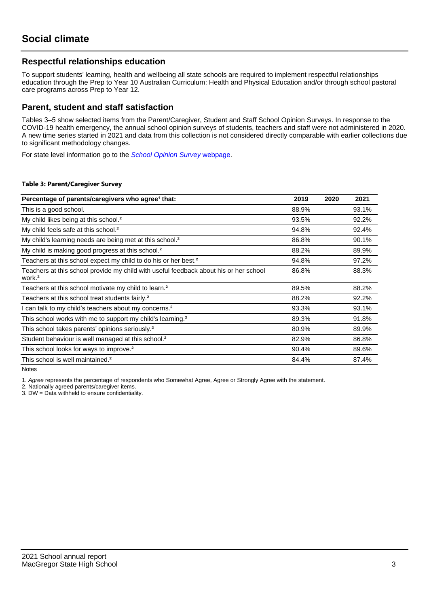## **Respectful relationships education**

To support students' learning, health and wellbeing all state schools are required to implement respectful relationships education through the Prep to Year 10 Australian Curriculum: Health and Physical Education and/or through school pastoral care programs across Prep to Year 12.

## **Parent, student and staff satisfaction**

Tables 3–5 show selected items from the Parent/Caregiver, Student and Staff School Opinion Surveys. In response to the COVID-19 health emergency, the annual school opinion surveys of students, teachers and staff were not administered in 2020. A new time series started in 2021 and data from this collection is not considered directly comparable with earlier collections due to significant methodology changes.

For state level information go to the **[School Opinion Survey](https://qed.qld.gov.au/publications/reports/statistics/schooling/schools/schoolopinionsurvey) webpage**.

#### **Table 3: Parent/Caregiver Survey**

| Percentage of parents/caregivers who agree <sup>1</sup> that:                                               | 2019  | 2020 | 2021  |
|-------------------------------------------------------------------------------------------------------------|-------|------|-------|
| This is a good school.                                                                                      | 88.9% |      | 93.1% |
| My child likes being at this school. <sup>2</sup>                                                           | 93.5% |      | 92.2% |
| My child feels safe at this school. <sup>2</sup>                                                            | 94.8% |      | 92.4% |
| My child's learning needs are being met at this school. <sup>2</sup>                                        | 86.8% |      | 90.1% |
| My child is making good progress at this school. <sup>2</sup>                                               | 88.2% |      | 89.9% |
| Teachers at this school expect my child to do his or her best. <sup>2</sup>                                 | 94.8% |      | 97.2% |
| Teachers at this school provide my child with useful feedback about his or her school<br>work. <sup>2</sup> | 86.8% |      | 88.3% |
| Teachers at this school motivate my child to learn. <sup>2</sup>                                            | 89.5% |      | 88.2% |
| Teachers at this school treat students fairly. <sup>2</sup>                                                 | 88.2% |      | 92.2% |
| can talk to my child's teachers about my concerns. <sup>2</sup>                                             | 93.3% |      | 93.1% |
| This school works with me to support my child's learning. <sup>2</sup>                                      | 89.3% |      | 91.8% |
| This school takes parents' opinions seriously. <sup>2</sup>                                                 | 80.9% |      | 89.9% |
| Student behaviour is well managed at this school. <sup>2</sup>                                              | 82.9% |      | 86.8% |
| This school looks for ways to improve. <sup>2</sup>                                                         | 90.4% |      | 89.6% |
| This school is well maintained. <sup>2</sup>                                                                | 84.4% |      | 87.4% |

Notes

1. Agree represents the percentage of respondents who Somewhat Agree, Agree or Strongly Agree with the statement.

2. Nationally agreed parents/caregiver items.

3. DW = Data withheld to ensure confidentiality.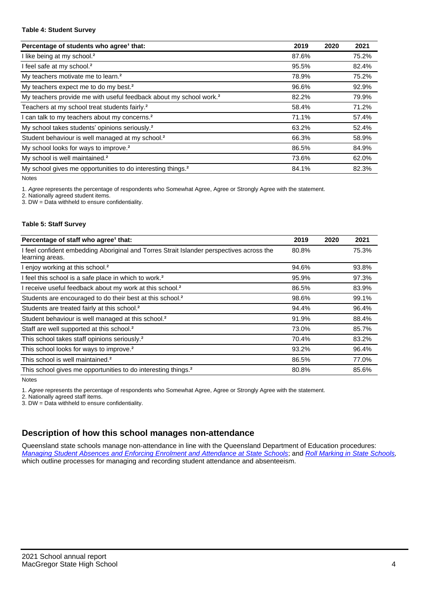#### **Table 4: Student Survey**

| Percentage of students who agree <sup>1</sup> that:                            | 2019  | 2020 | 2021  |
|--------------------------------------------------------------------------------|-------|------|-------|
| I like being at my school. <sup>2</sup>                                        | 87.6% |      | 75.2% |
| I feel safe at my school. <sup>2</sup>                                         | 95.5% |      | 82.4% |
| My teachers motivate me to learn. <sup>2</sup>                                 | 78.9% |      | 75.2% |
| My teachers expect me to do my best. <sup>2</sup>                              | 96.6% |      | 92.9% |
| My teachers provide me with useful feedback about my school work. <sup>2</sup> | 82.2% |      | 79.9% |
| Teachers at my school treat students fairly. <sup>2</sup>                      | 58.4% |      | 71.2% |
| I can talk to my teachers about my concerns. <sup>2</sup>                      | 71.1% |      | 57.4% |
| My school takes students' opinions seriously. <sup>2</sup>                     | 63.2% |      | 52.4% |
| Student behaviour is well managed at my school. <sup>2</sup>                   | 66.3% |      | 58.9% |
| My school looks for ways to improve. <sup>2</sup>                              | 86.5% |      | 84.9% |
| My school is well maintained. <sup>2</sup>                                     | 73.6% |      | 62.0% |
| My school gives me opportunities to do interesting things. <sup>2</sup>        | 84.1% |      | 82.3% |

Notes

1. Agree represents the percentage of respondents who Somewhat Agree, Agree or Strongly Agree with the statement.

2. Nationally agreed student items.

3. DW = Data withheld to ensure confidentiality.

### **Table 5: Staff Survey**

| Percentage of staff who agree <sup>1</sup> that:                                                            | 2019  | 2020 | 2021  |
|-------------------------------------------------------------------------------------------------------------|-------|------|-------|
| I feel confident embedding Aboriginal and Torres Strait Islander perspectives across the<br>learning areas. | 80.8% |      | 75.3% |
| I enjoy working at this school. <sup>2</sup>                                                                | 94.6% |      | 93.8% |
| I feel this school is a safe place in which to work. <sup>2</sup>                                           | 95.9% |      | 97.3% |
| I receive useful feedback about my work at this school. <sup>2</sup>                                        | 86.5% |      | 83.9% |
| Students are encouraged to do their best at this school. <sup>2</sup>                                       | 98.6% |      | 99.1% |
| Students are treated fairly at this school. <sup>2</sup>                                                    | 94.4% |      | 96.4% |
| Student behaviour is well managed at this school. <sup>2</sup>                                              | 91.9% |      | 88.4% |
| Staff are well supported at this school. <sup>2</sup>                                                       | 73.0% |      | 85.7% |
| This school takes staff opinions seriously. <sup>2</sup>                                                    | 70.4% |      | 83.2% |
| This school looks for ways to improve. <sup>2</sup>                                                         | 93.2% |      | 96.4% |
| This school is well maintained. <sup>2</sup>                                                                | 86.5% |      | 77.0% |
| This school gives me opportunities to do interesting things. <sup>2</sup>                                   | 80.8% |      | 85.6% |

Notes

1. Agree represents the percentage of respondents who Somewhat Agree, Agree or Strongly Agree with the statement.

2. Nationally agreed staff items.

3. DW = Data withheld to ensure confidentiality.

# **Description of how this school manages non-attendance**

Queensland state schools manage non-attendance in line with the Queensland Department of Education procedures: [Managing Student Absences and Enforcing Enrolment and Attendance at State Schools](https://ppr.qed.qld.gov.au/pp/managing-student-absences-and-enforcing-enrolment-and-attendance-at-state-schools-procedure); and [Roll Marking in State Schools,](https://ppr.qed.qld.gov.au/pp/roll-marking-in-state-schools-procedure) which outline processes for managing and recording student attendance and absenteeism.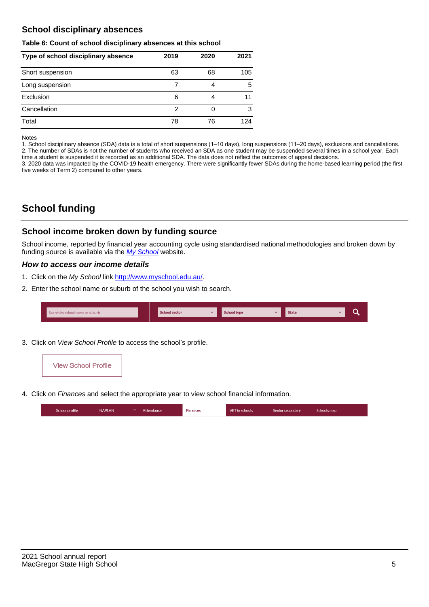# **School disciplinary absences**

#### **Table 6: Count of school disciplinary absences at this school**

| Type of school disciplinary absence | 2019 | 2020 | 2021 |
|-------------------------------------|------|------|------|
| Short suspension                    | 63   | 68   | 105  |
| Long suspension                     |      | 4    | 5    |
| Exclusion                           | 6    | 4    | 11   |
| Cancellation                        | 2    | 0    | 3    |
| Total                               | 78   | 76   | 124  |

Notes

1. School disciplinary absence (SDA) data is a total of short suspensions (1–10 days), long suspensions (11–20 days), exclusions and cancellations. 2. The number of SDAs is not the number of students who received an SDA as one student may be suspended several times in a school year. Each time a student is suspended it is recorded as an additional SDA. The data does not reflect the outcomes of appeal decisions.

3. 2020 data was impacted by the COVID-19 health emergency. There were significantly fewer SDAs during the home-based learning period (the first five weeks of Term 2) compared to other years.

# **School funding**

## **School income broken down by funding source**

School income, reported by financial year accounting cycle using standardised national methodologies and broken down by funding source is available via the [My School](http://www.myschool.edu.au/) website.

## **How to access our income details**

- 1. Click on the My School link <http://www.myschool.edu.au/>.
- 2. Enter the school name or suburb of the school you wish to search.

| Search by school name or suburb | <b>School sector</b> | School type | <b>State</b> |  |
|---------------------------------|----------------------|-------------|--------------|--|
|                                 |                      |             |              |  |

3. Click on View School Profile to access the school's profile.



4. Click on Finances and select the appropriate year to view school financial information.

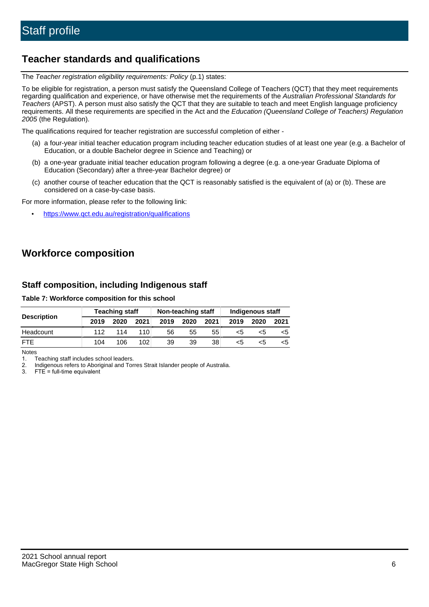# **Teacher standards and qualifications**

The Teacher registration eligibility requirements: Policy (p.1) states:

To be eligible for registration, a person must satisfy the Queensland College of Teachers (QCT) that they meet requirements regarding qualification and experience, or have otherwise met the requirements of the Australian Professional Standards for Teachers (APST). A person must also satisfy the QCT that they are suitable to teach and meet English language proficiency requirements. All these requirements are specified in the Act and the Education (Queensland College of Teachers) Regulation 2005 (the Regulation).

The qualifications required for teacher registration are successful completion of either -

- (a) a four-year initial teacher education program including teacher education studies of at least one year (e.g. a Bachelor of Education, or a double Bachelor degree in Science and Teaching) or
- (b) a one-year graduate initial teacher education program following a degree (e.g. a one-year Graduate Diploma of Education (Secondary) after a three-year Bachelor degree) or
- (c) another course of teacher education that the QCT is reasonably satisfied is the equivalent of (a) or (b). These are considered on a case-by-case basis.

For more information, please refer to the following link:

• <https://www.qct.edu.au/registration/qualifications>

# **Workforce composition**

## **Staff composition, including Indigenous staff**

### **Table 7: Workforce composition for this school**

|                    | <b>Teaching staff</b> |      |      | Non-teaching staff |      |      | Indigenous staff |      |      |
|--------------------|-----------------------|------|------|--------------------|------|------|------------------|------|------|
| <b>Description</b> | 2019                  | 2020 | 2021 | 2019               | 2020 | 2021 | 2019             | 2020 | 2021 |
| Headcount          | 112                   | 114  | 110  | 56                 | 55   | 55   | <5               | <5   |      |
| <b>FTE</b>         | 104                   | 106  | 102  | 39                 | 39   | 38   | <5               | ה>   | ה>   |

Notes

1. Teaching staff includes school leaders.

2. Indigenous refers to Aboriginal and Torres Strait Islander people of Australia.

3. FTE = full-time equivalent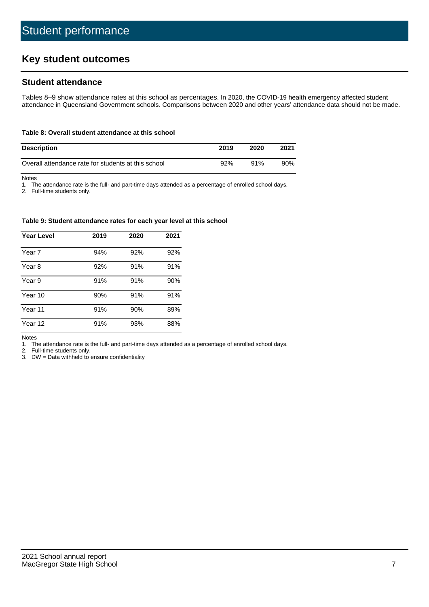# **Key student outcomes**

## **Student attendance**

Tables 8–9 show attendance rates at this school as percentages. In 2020, the COVID-19 health emergency affected student attendance in Queensland Government schools. Comparisons between 2020 and other years' attendance data should not be made.

#### **Table 8: Overall student attendance at this school**

| <b>Description</b>                                  | 2019 | 2020 | 2021 |
|-----------------------------------------------------|------|------|------|
| Overall attendance rate for students at this school | 92%  | 91%  | 90%  |

Notes

1. The attendance rate is the full- and part-time days attended as a percentage of enrolled school days.

2. Full-time students only.

#### **Table 9: Student attendance rates for each year level at this school**

| <b>Year Level</b> | 2019 | 2020 | 2021 |
|-------------------|------|------|------|
| Year 7            | 94%  | 92%  | 92%  |
| Year 8            | 92%  | 91%  | 91%  |
| Year 9            | 91%  | 91%  | 90%  |
| Year 10           | 90%  | 91%  | 91%  |
| Year 11           | 91%  | 90%  | 89%  |
| Year 12           | 91%  | 93%  | 88%  |

Notes

1. The attendance rate is the full- and part-time days attended as a percentage of enrolled school days.

2. Full-time students only.

3. DW = Data withheld to ensure confidentiality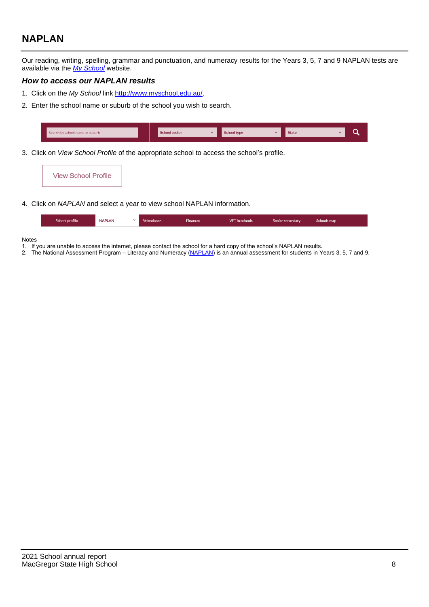# **NAPLAN**

Our reading, writing, spelling, grammar and punctuation, and numeracy results for the Years 3, 5, 7 and 9 NAPLAN tests are available via the [My School](http://www.myschool.edu.au/) website.

### **How to access our NAPLAN results**

- 1. Click on the My School link <http://www.myschool.edu.au/>.
- 2. Enter the school name or suburb of the school you wish to search.

| Search by school name or suburb | <b>School sector</b> | <b>School type</b>                        |          | <b>State</b> |  |
|---------------------------------|----------------------|-------------------------------------------|----------|--------------|--|
|                                 |                      |                                           |          |              |  |
|                                 |                      | $\sim$ $\sim$ $\sim$ $\sim$ $\sim$ $\sim$ | $\cdots$ |              |  |

3. Click on View School Profile of the appropriate school to access the school's profile.



4. Click on NAPLAN and select a year to view school NAPLAN information.

|--|

#### Notes

- 1. If you are unable to access the internet, please contact the school for a hard copy of the school's NAPLAN results.
- 2. The National Assessment Program Literacy and Numeracy ([NAPLAN\)](http://www.nap.edu.au/naplan) is an annual assessment for students in Years 3, 5, 7 and 9.